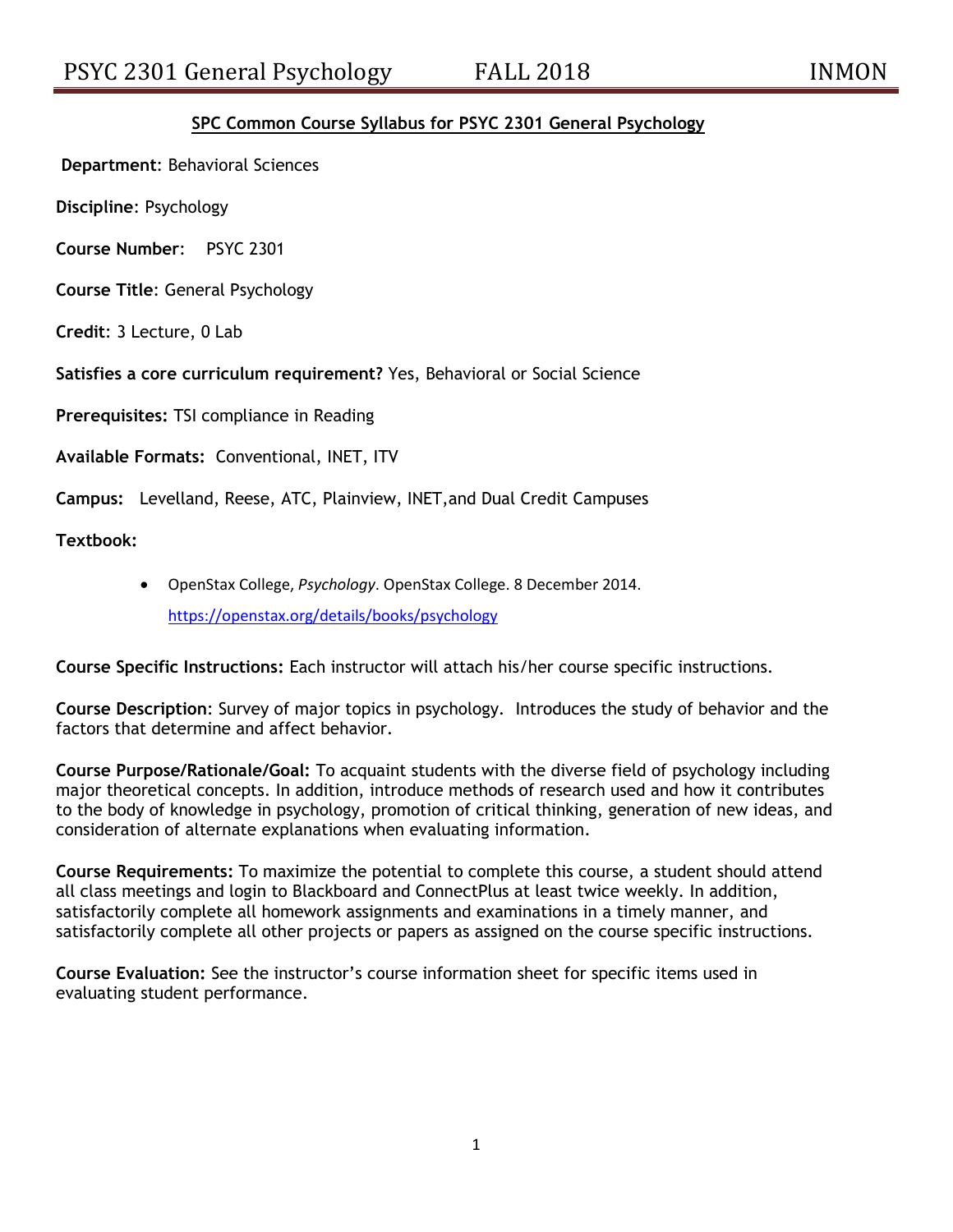# **SPC Common Course Syllabus for PSYC 2301 General Psychology**

**Department**: Behavioral Sciences

**Discipline**: Psychology

**Course Number**: PSYC 2301

**Course Title**: General Psychology

**Credit**: 3 Lecture, 0 Lab

**Satisfies a core curriculum requirement?** Yes, Behavioral or Social Science

**Prerequisites:** TSI compliance in Reading

**Available Formats:** Conventional, INET, ITV

**Campus:** Levelland, Reese, ATC, Plainview, INET,and Dual Credit Campuses

**Textbook:**

 OpenStax College, *Psychology*. OpenStax College. 8 December 2014. <https://openstax.org/details/books/psychology>

**Course Specific Instructions:** Each instructor will attach his/her course specific instructions.

**Course Description**: Survey of major topics in psychology. Introduces the study of behavior and the factors that determine and affect behavior.

**Course Purpose/Rationale/Goal:** To acquaint students with the diverse field of psychology including major theoretical concepts. In addition, introduce methods of research used and how it contributes to the body of knowledge in psychology, promotion of critical thinking, generation of new ideas, and consideration of alternate explanations when evaluating information.

**Course Requirements:** To maximize the potential to complete this course, a student should attend all class meetings and login to Blackboard and ConnectPlus at least twice weekly. In addition, satisfactorily complete all homework assignments and examinations in a timely manner, and satisfactorily complete all other projects or papers as assigned on the course specific instructions.

**Course Evaluation:** See the instructor's course information sheet for specific items used in evaluating student performance.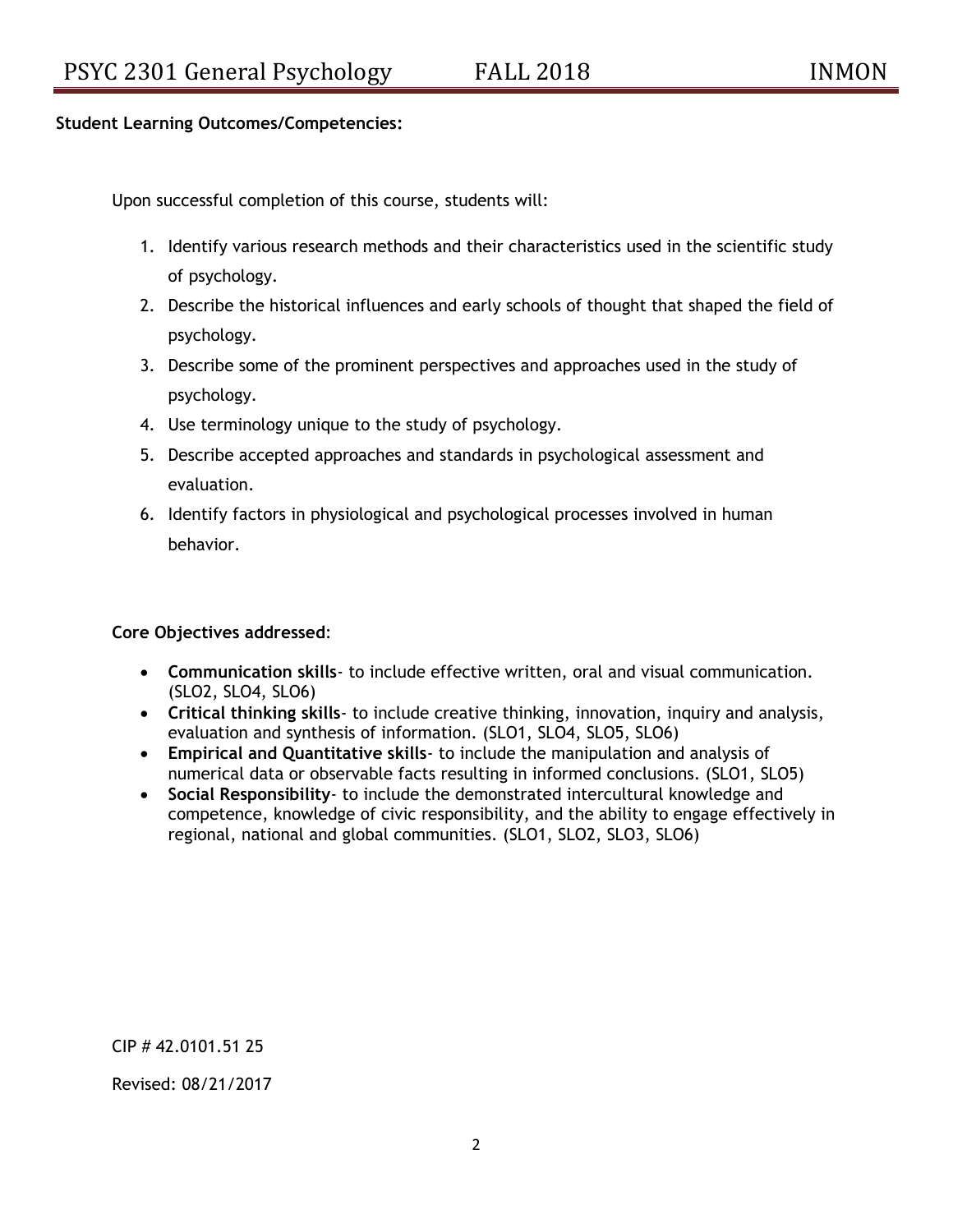## **Student Learning Outcomes/Competencies:**

Upon successful completion of this course, students will:

- 1. Identify various research methods and their characteristics used in the scientific study of psychology.
- 2. Describe the historical influences and early schools of thought that shaped the field of psychology.
- 3. Describe some of the prominent perspectives and approaches used in the study of psychology.
- 4. Use terminology unique to the study of psychology.
- 5. Describe accepted approaches and standards in psychological assessment and evaluation.
- 6. Identify factors in physiological and psychological processes involved in human behavior.

**Core Objectives addressed**:

- **Communication skills** to include effective written, oral and visual communication. (SLO2, SLO4, SLO6)
- **Critical thinking skills** to include creative thinking, innovation, inquiry and analysis, evaluation and synthesis of information. (SLO1, SLO4, SLO5, SLO6)
- **Empirical and Quantitative skills** to include the manipulation and analysis of numerical data or observable facts resulting in informed conclusions. (SLO1, SLO5)
- **Social Responsibility** to include the demonstrated intercultural knowledge and competence, knowledge of civic responsibility, and the ability to engage effectively in regional, national and global communities. (SLO1, SLO2, SLO3, SLO6)

CIP # 42.0101.51 25

Revised: 08/21/2017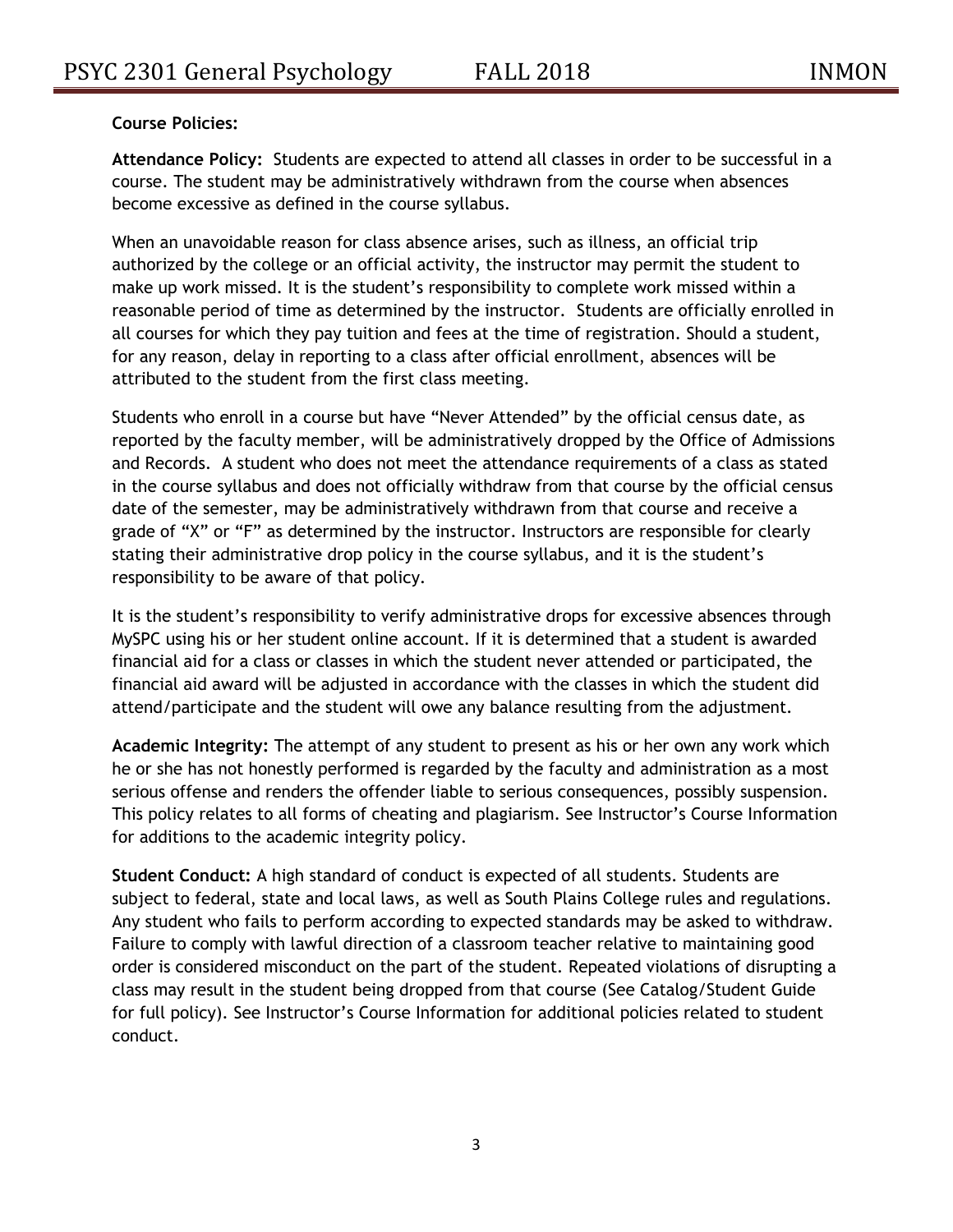# **Course Policies:**

**Attendance Policy:** Students are expected to attend all classes in order to be successful in a course. The student may be administratively withdrawn from the course when absences become excessive as defined in the course syllabus.

When an unavoidable reason for class absence arises, such as illness, an official trip authorized by the college or an official activity, the instructor may permit the student to make up work missed. It is the student's responsibility to complete work missed within a reasonable period of time as determined by the instructor. Students are officially enrolled in all courses for which they pay tuition and fees at the time of registration. Should a student, for any reason, delay in reporting to a class after official enrollment, absences will be attributed to the student from the first class meeting.

Students who enroll in a course but have "Never Attended" by the official census date, as reported by the faculty member, will be administratively dropped by the Office of Admissions and Records. A student who does not meet the attendance requirements of a class as stated in the course syllabus and does not officially withdraw from that course by the official census date of the semester, may be administratively withdrawn from that course and receive a grade of "X" or "F" as determined by the instructor. Instructors are responsible for clearly stating their administrative drop policy in the course syllabus, and it is the student's responsibility to be aware of that policy.

It is the student's responsibility to verify administrative drops for excessive absences through MySPC using his or her student online account. If it is determined that a student is awarded financial aid for a class or classes in which the student never attended or participated, the financial aid award will be adjusted in accordance with the classes in which the student did attend/participate and the student will owe any balance resulting from the adjustment.

**Academic Integrity:** The attempt of any student to present as his or her own any work which he or she has not honestly performed is regarded by the faculty and administration as a most serious offense and renders the offender liable to serious consequences, possibly suspension. This policy relates to all forms of cheating and plagiarism. See Instructor's Course Information for additions to the academic integrity policy.

**Student Conduct:** A high standard of conduct is expected of all students. Students are subject to federal, state and local laws, as well as South Plains College rules and regulations. Any student who fails to perform according to expected standards may be asked to withdraw. Failure to comply with lawful direction of a classroom teacher relative to maintaining good order is considered misconduct on the part of the student. Repeated violations of disrupting a class may result in the student being dropped from that course (See Catalog/Student Guide for full policy). See Instructor's Course Information for additional policies related to student conduct.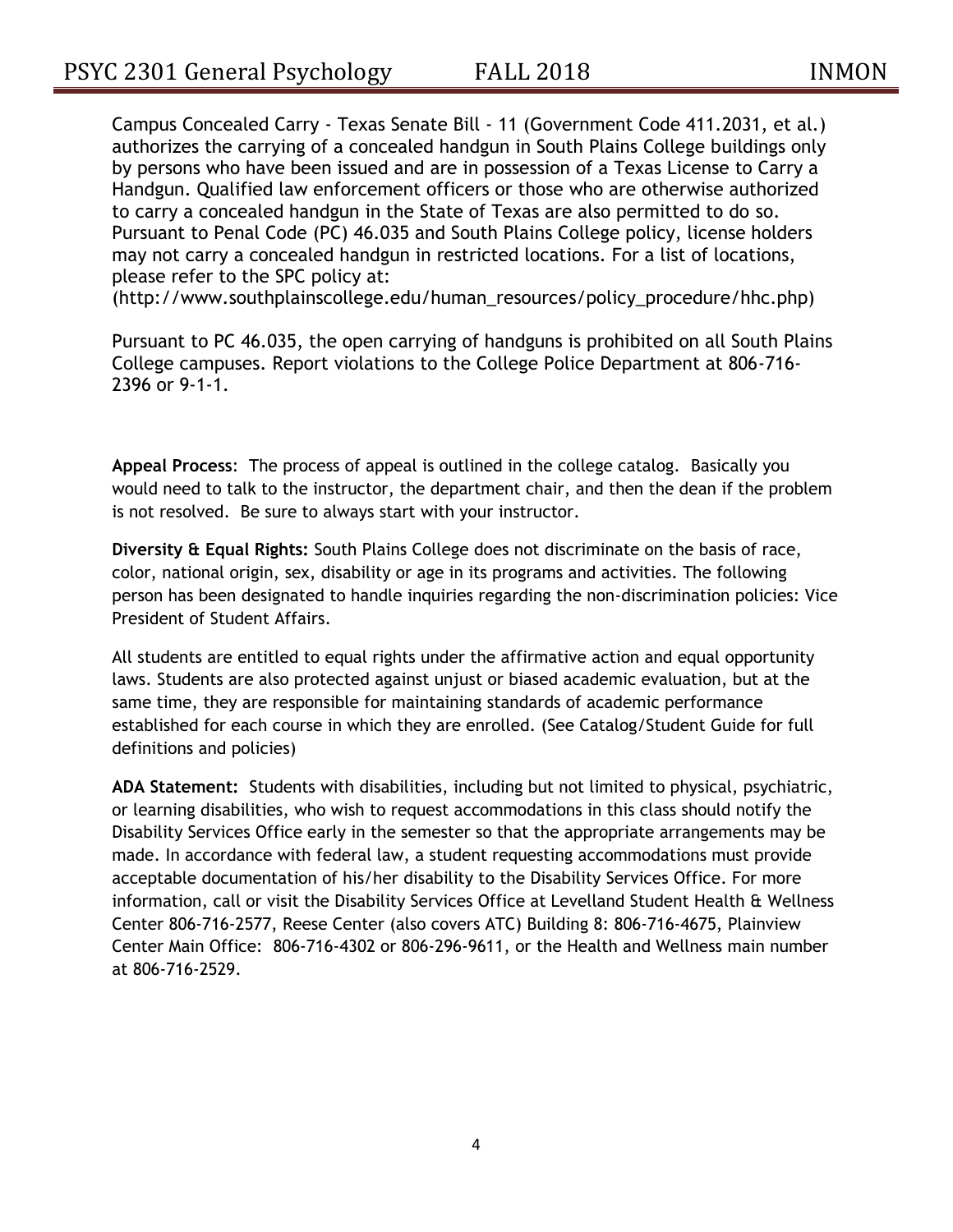Campus Concealed Carry - Texas Senate Bill - 11 (Government Code 411.2031, et al.) authorizes the carrying of a concealed handgun in South Plains College buildings only by persons who have been issued and are in possession of a Texas License to Carry a Handgun. Qualified law enforcement officers or those who are otherwise authorized to carry a concealed handgun in the State of Texas are also permitted to do so. Pursuant to Penal Code (PC) 46.035 and South Plains College policy, license holders may not carry a concealed handgun in restricted locations. For a list of locations, please refer to the SPC policy at:

(http://www.southplainscollege.edu/human\_resources/policy\_procedure/hhc.php)

Pursuant to PC 46.035, the open carrying of handguns is prohibited on all South Plains College campuses. Report violations to the College Police Department at 806-716- 2396 or 9-1-1.

**Appeal Process**: The process of appeal is outlined in the college catalog. Basically you would need to talk to the instructor, the department chair, and then the dean if the problem is not resolved. Be sure to always start with your instructor.

**Diversity & Equal Rights:** South Plains College does not discriminate on the basis of race, color, national origin, sex, disability or age in its programs and activities. The following person has been designated to handle inquiries regarding the non-discrimination policies: Vice President of Student Affairs.

All students are entitled to equal rights under the affirmative action and equal opportunity laws. Students are also protected against unjust or biased academic evaluation, but at the same time, they are responsible for maintaining standards of academic performance established for each course in which they are enrolled. (See Catalog/Student Guide for full definitions and policies)

**ADA Statement:** Students with disabilities, including but not limited to physical, psychiatric, or learning disabilities, who wish to request accommodations in this class should notify the Disability Services Office early in the semester so that the appropriate arrangements may be made. In accordance with federal law, a student requesting accommodations must provide acceptable documentation of his/her disability to the Disability Services Office. For more information, call or visit the Disability Services Office at Levelland Student Health & Wellness Center 806-716-2577, Reese Center (also covers ATC) Building 8: 806-716-4675, Plainview Center Main Office: 806-716-4302 or 806-296-9611, or the Health and Wellness main number at 806-716-2529.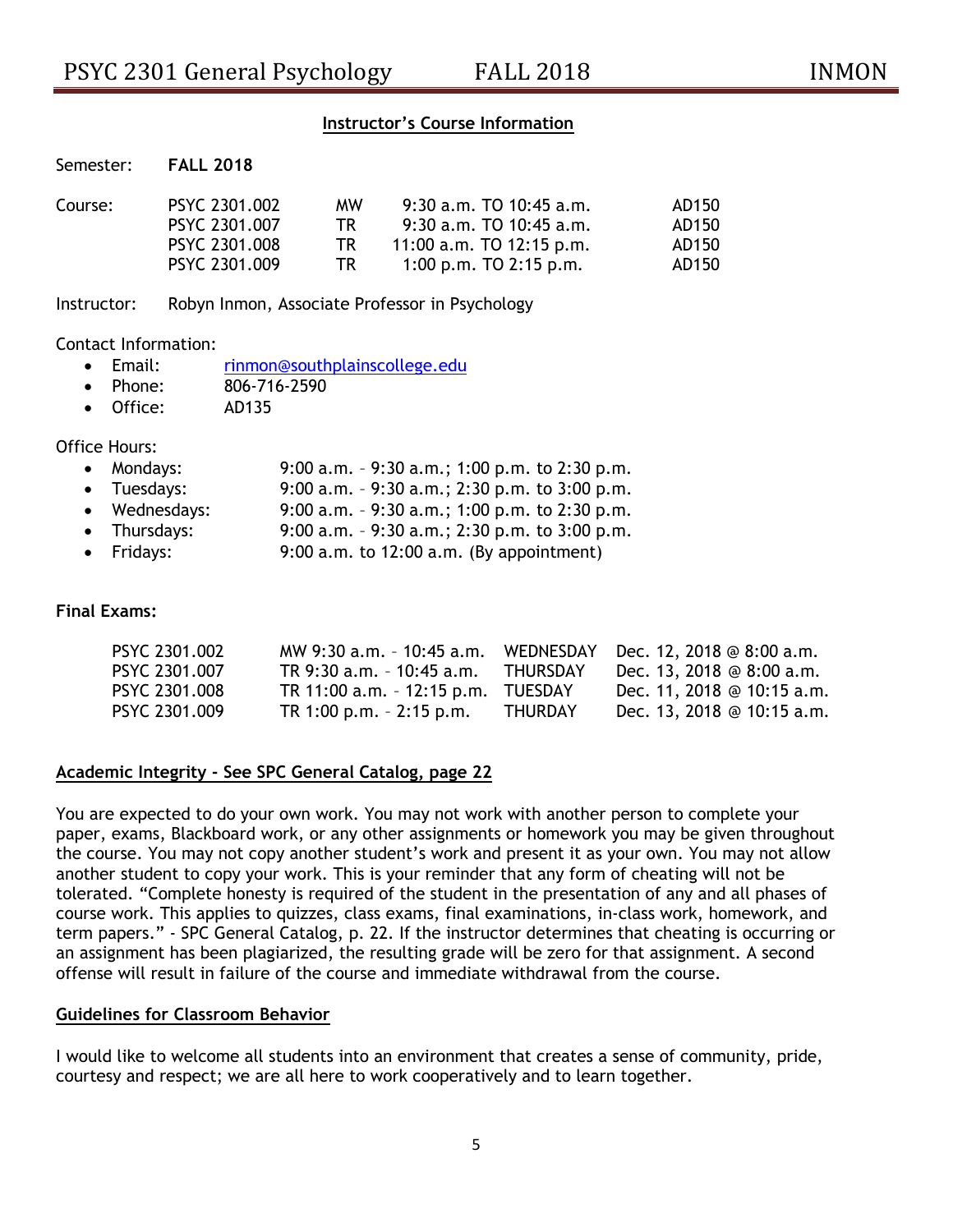## **Instructor's Course Information**

| י והאכבווובט | I ALL ZUIO    |           |                             |       |
|--------------|---------------|-----------|-----------------------------|-------|
| Course:      | PSYC 2301.002 | <b>MW</b> | $9:30$ a.m. TO $10:45$ a.m. | AD150 |
|              | PSYC 2301.007 | TR.       | $9:30$ a.m. TO 10:45 a.m.   | AD150 |
|              | PSYC 2301.008 | TR.       | 11:00 a.m. TO 12:15 p.m.    | AD150 |
|              | PSYC 2301.009 | TR.       | 1:00 p.m. TO 2:15 p.m.      | AD150 |

Instructor: Robyn Inmon, Associate Professor in Psychology

#### Contact Information:

Semester: **FALL 2018**

- Email: [rinmon@southplainscollege.edu](mailto:rinmon@southplainscollege.edu)
- Phone: 806-716-2590
- Office: AD135

Office Hours:

- Mondays: 9:00 a.m. 9:30 a.m.; 1:00 p.m. to 2:30 p.m.
- Tuesdays: 9:00 a.m. 9:30 a.m.; 2:30 p.m. to 3:00 p.m.
- Wednesdays: 9:00 a.m. 9:30 a.m.; 1:00 p.m. to 2:30 p.m.
- Thursdays: 9:00 a.m. 9:30 a.m.; 2:30 p.m. to 3:00 p.m.
- Fridays: 9:00 a.m. to 12:00 a.m. (By appointment)

#### **Final Exams:**

| PSYC 2301.002 | MW 9:30 a.m. - 10:45 a.m.          | <b>WEDNESDAY</b> | Dec. 12, 2018 @ 8:00 a.m.  |
|---------------|------------------------------------|------------------|----------------------------|
| PSYC 2301.007 | TR 9:30 a.m. - 10:45 a.m.          | THURSDAY         | Dec. 13, 2018 @ 8:00 a.m.  |
| PSYC 2301.008 | TR 11:00 a.m. - 12:15 p.m. TUESDAY |                  | Dec. 11, 2018 @ 10:15 a.m. |
| PSYC 2301.009 | TR $1:00$ p.m. $-2:15$ p.m.        | THURDAY          | Dec. 13, 2018 @ 10:15 a.m. |

## **Academic Integrity - See SPC General Catalog, page 22**

You are expected to do your own work. You may not work with another person to complete your paper, exams, Blackboard work, or any other assignments or homework you may be given throughout the course. You may not copy another student's work and present it as your own. You may not allow another student to copy your work. This is your reminder that any form of cheating will not be tolerated. "Complete honesty is required of the student in the presentation of any and all phases of course work. This applies to quizzes, class exams, final examinations, in-class work, homework, and term papers." - SPC General Catalog, p. 22. If the instructor determines that cheating is occurring or an assignment has been plagiarized, the resulting grade will be zero for that assignment. A second offense will result in failure of the course and immediate withdrawal from the course.

#### **Guidelines for Classroom Behavior**

I would like to welcome all students into an environment that creates a sense of community, pride, courtesy and respect; we are all here to work cooperatively and to learn together.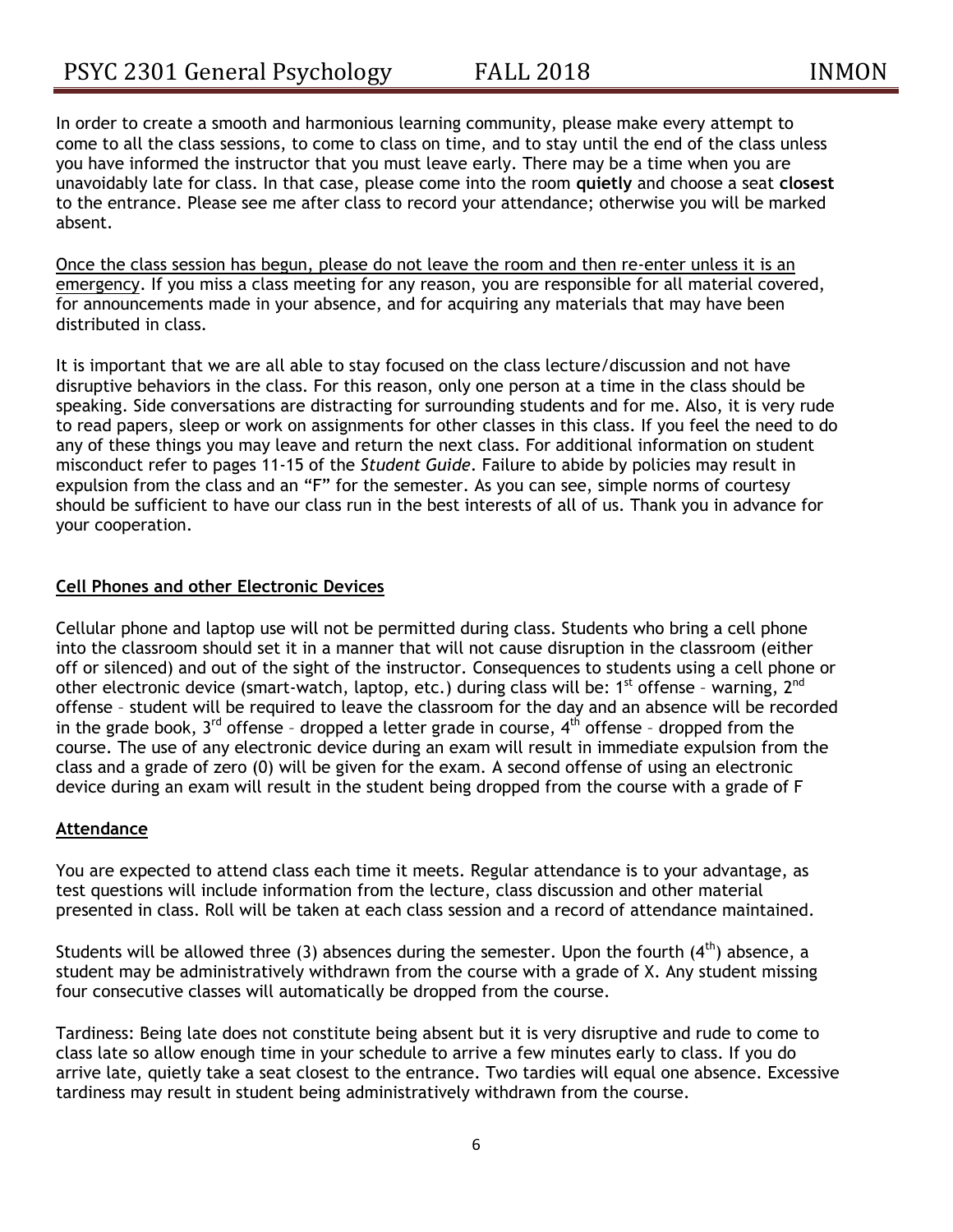In order to create a smooth and harmonious learning community, please make every attempt to come to all the class sessions, to come to class on time, and to stay until the end of the class unless you have informed the instructor that you must leave early. There may be a time when you are unavoidably late for class. In that case, please come into the room **quietly** and choose a seat **closest** to the entrance. Please see me after class to record your attendance; otherwise you will be marked absent.

Once the class session has begun, please do not leave the room and then re-enter unless it is an emergency. If you miss a class meeting for any reason, you are responsible for all material covered, for announcements made in your absence, and for acquiring any materials that may have been distributed in class.

It is important that we are all able to stay focused on the class lecture/discussion and not have disruptive behaviors in the class. For this reason, only one person at a time in the class should be speaking. Side conversations are distracting for surrounding students and for me. Also, it is very rude to read papers, sleep or work on assignments for other classes in this class. If you feel the need to do any of these things you may leave and return the next class. For additional information on student misconduct refer to pages 11-15 of the *Student Guide*. Failure to abide by policies may result in expulsion from the class and an "F" for the semester. As you can see, simple norms of courtesy should be sufficient to have our class run in the best interests of all of us. Thank you in advance for your cooperation.

## **Cell Phones and other Electronic Devices**

Cellular phone and laptop use will not be permitted during class. Students who bring a cell phone into the classroom should set it in a manner that will not cause disruption in the classroom (either off or silenced) and out of the sight of the instructor. Consequences to students using a cell phone or other electronic device (smart-watch, laptop, etc.) during class will be:  $1^{st}$  offense - warning,  $2^{nd}$ offense – student will be required to leave the classroom for the day and an absence will be recorded in the grade book,  $3^{rd}$  offense - dropped a letter grade in course,  $4^{th}$  offense - dropped from the course. The use of any electronic device during an exam will result in immediate expulsion from the class and a grade of zero (0) will be given for the exam. A second offense of using an electronic device during an exam will result in the student being dropped from the course with a grade of F

## **Attendance**

You are expected to attend class each time it meets. Regular attendance is to your advantage, as test questions will include information from the lecture, class discussion and other material presented in class. Roll will be taken at each class session and a record of attendance maintained.

Students will be allowed three (3) absences during the semester. Upon the fourth  $(4<sup>th</sup>)$  absence, a student may be administratively withdrawn from the course with a grade of X. Any student missing four consecutive classes will automatically be dropped from the course.

Tardiness: Being late does not constitute being absent but it is very disruptive and rude to come to class late so allow enough time in your schedule to arrive a few minutes early to class. If you do arrive late, quietly take a seat closest to the entrance. Two tardies will equal one absence. Excessive tardiness may result in student being administratively withdrawn from the course.